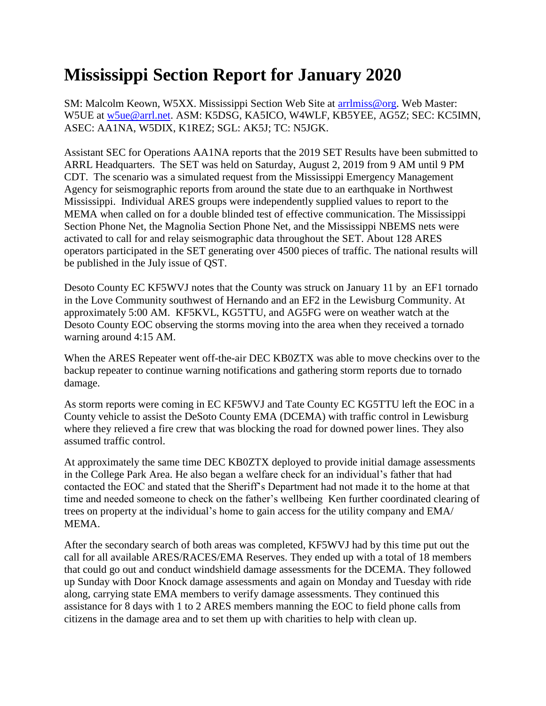## **Mississippi Section Report for January 2020**

SM: Malcolm Keown, W5XX. Mississippi Section Web Site at [arrlmiss@org.](mailto:arrlmiss@org) Web Master: W5UE at [w5ue@arrl.net.](mailto:w5ue@arrl.net) ASM: K5DSG, KA5ICO, W4WLF, KB5YEE, AG5Z; SEC: KC5IMN, ASEC: AA1NA, W5DIX, K1REZ; SGL: AK5J; TC: N5JGK.

Assistant SEC for Operations AA1NA reports that the 2019 SET Results have been submitted to ARRL Headquarters. The SET was held on Saturday, August 2, 2019 from 9 AM until 9 PM CDT. The scenario was a simulated request from the Mississippi Emergency Management Agency for seismographic reports from around the state due to an earthquake in Northwest Mississippi. Individual ARES groups were independently supplied values to report to the MEMA when called on for a double blinded test of effective communication. The Mississippi Section Phone Net, the Magnolia Section Phone Net, and the Mississippi NBEMS nets were activated to call for and relay seismographic data throughout the SET. About 128 ARES operators participated in the SET generating over 4500 pieces of traffic. The national results will be published in the July issue of QST.

Desoto County EC KF5WVJ notes that the County was struck on January 11 by an EF1 tornado in the Love Community southwest of Hernando and an EF2 in the Lewisburg Community. At approximately 5:00 AM. KF5KVL, KG5TTU, and AG5FG were on weather watch at the Desoto County EOC observing the storms moving into the area when they received a tornado warning around 4:15 AM.

When the ARES Repeater went off-the-air DEC KB0ZTX was able to move checkins over to the backup repeater to continue warning notifications and gathering storm reports due to tornado damage.

As storm reports were coming in EC KF5WVJ and Tate County EC KG5TTU left the EOC in a County vehicle to assist the DeSoto County EMA (DCEMA) with traffic control in Lewisburg where they relieved a fire crew that was blocking the road for downed power lines. They also assumed traffic control.

At approximately the same time DEC KB0ZTX deployed to provide initial damage assessments in the College Park Area. He also began a welfare check for an individual's father that had contacted the EOC and stated that the Sheriff's Department had not made it to the home at that time and needed someone to check on the father's wellbeing Ken further coordinated clearing of trees on property at the individual's home to gain access for the utility company and EMA/ MEMA.

After the secondary search of both areas was completed, KF5WVJ had by this time put out the call for all available ARES/RACES/EMA Reserves. They ended up with a total of 18 members that could go out and conduct windshield damage assessments for the DCEMA. They followed up Sunday with Door Knock damage assessments and again on Monday and Tuesday with ride along, carrying state EMA members to verify damage assessments. They continued this assistance for 8 days with 1 to 2 ARES members manning the EOC to field phone calls from citizens in the damage area and to set them up with charities to help with clean up.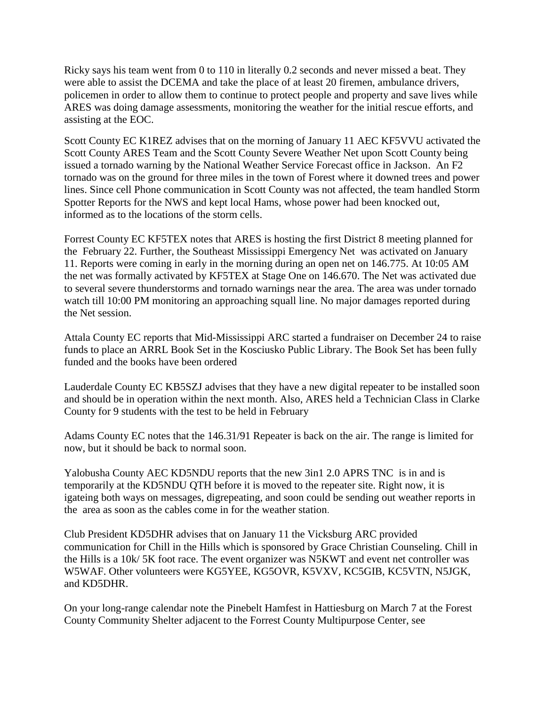Ricky says his team went from 0 to 110 in literally 0.2 seconds and never missed a beat. They were able to assist the DCEMA and take the place of at least 20 firemen, ambulance drivers, policemen in order to allow them to continue to protect people and property and save lives while ARES was doing damage assessments, monitoring the weather for the initial rescue efforts, and assisting at the EOC.

Scott County EC K1REZ advises that on the morning of January 11 AEC KF5VVU activated the Scott County ARES Team and the Scott County Severe Weather Net upon Scott County being issued a tornado warning by the National Weather Service Forecast office in Jackson. An F2 tornado was on the ground for three miles in the town of Forest where it downed trees and power lines. Since cell Phone communication in Scott County was not affected, the team handled Storm Spotter Reports for the NWS and kept local Hams, whose power had been knocked out, informed as to the locations of the storm cells.

Forrest County EC KF5TEX notes that ARES is hosting the first District 8 meeting planned for the February 22. Further, the Southeast Mississippi Emergency Net was activated on January 11. Reports were coming in early in the morning during an open net on 146.775. At 10:05 AM the net was formally activated by KF5TEX at Stage One on 146.670. The Net was activated due to several severe thunderstorms and tornado warnings near the area. The area was under tornado watch till 10:00 PM monitoring an approaching squall line. No major damages reported during the Net session.

Attala County EC reports that Mid-Mississippi ARC started a fundraiser on December 24 to raise funds to place an ARRL Book Set in the Kosciusko Public Library. The Book Set has been fully funded and the books have been ordered

Lauderdale County EC KB5SZJ advises that they have a new digital repeater to be installed soon and should be in operation within the next month. Also, ARES held a Technician Class in Clarke County for 9 students with the test to be held in February

Adams County EC notes that the 146.31/91 Repeater is back on the air. The range is limited for now, but it should be back to normal soon.

Yalobusha County AEC KD5NDU reports that the new 3in1 2.0 APRS TNC is in and is temporarily at the KD5NDU QTH before it is moved to the repeater site. Right now, it is igateing both ways on messages, digrepeating, and soon could be sending out weather reports in the area as soon as the cables come in for the weather station.

Club President KD5DHR advises that on January 11 the Vicksburg ARC provided communication for Chill in the Hills which is sponsored by Grace Christian Counseling. Chill in the Hills is a 10k/ 5K foot race. The event organizer was N5KWT and event net controller was W5WAF. Other volunteers were KG5YEE, KG5OVR, K5VXV, KC5GIB, KC5VTN, N5JGK, and KD5DHR.

On your long-range calendar note the Pinebelt Hamfest in Hattiesburg on March 7 at the Forest County Community Shelter adjacent to the Forrest County Multipurpose Center, see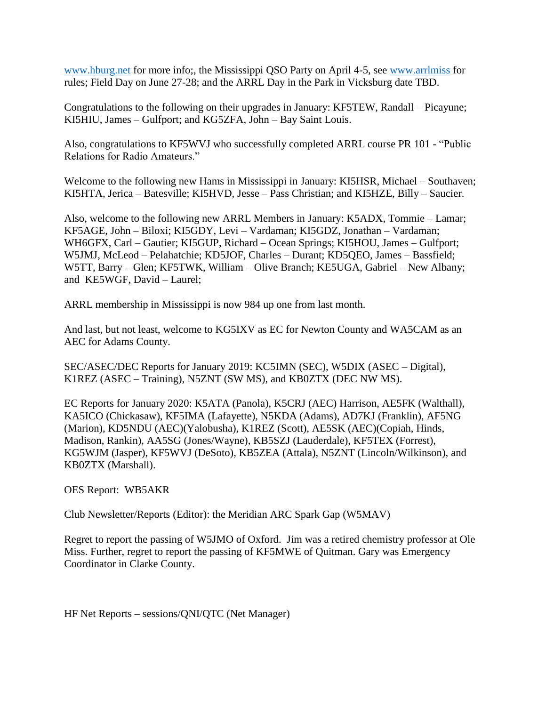[www.hburg.net](http://www.hburg.net/) for more info;, the Mississippi QSO Party on April 4-5, see [www.arrlmiss](http://www.arrlmiss/) for rules; Field Day on June 27-28; and the ARRL Day in the Park in Vicksburg date TBD.

Congratulations to the following on their upgrades in January: KF5TEW, Randall – Picayune; KI5HIU, James – Gulfport; and KG5ZFA, John – Bay Saint Louis.

Also, congratulations to KF5WVJ who successfully completed ARRL course PR 101 - "Public Relations for Radio Amateurs."

Welcome to the following new Hams in Mississippi in January: KI5HSR, Michael – Southaven; KI5HTA, Jerica – Batesville; KI5HVD, Jesse – Pass Christian; and KI5HZE, Billy – Saucier.

Also, welcome to the following new ARRL Members in January: K5ADX, Tommie – Lamar; KF5AGE, John – Biloxi; KI5GDY, Levi – Vardaman; KI5GDZ, Jonathan – Vardaman; WH6GFX, Carl – Gautier; KI5GUP, Richard – Ocean Springs; KI5HOU, James – Gulfport; W5JMJ, McLeod – Pelahatchie; KD5JOF, Charles – Durant; KD5QEO, James – Bassfield; W5TT, Barry – Glen; KF5TWK, William – Olive Branch; KE5UGA, Gabriel – New Albany; and KE5WGF, David – Laurel;

ARRL membership in Mississippi is now 984 up one from last month.

And last, but not least, welcome to KG5IXV as EC for Newton County and WA5CAM as an AEC for Adams County.

SEC/ASEC/DEC Reports for January 2019: KC5IMN (SEC), W5DIX (ASEC – Digital), K1REZ (ASEC – Training), N5ZNT (SW MS), and KB0ZTX (DEC NW MS).

EC Reports for January 2020: K5ATA (Panola), K5CRJ (AEC) Harrison, AE5FK (Walthall), KA5ICO (Chickasaw), KF5IMA (Lafayette), N5KDA (Adams), AD7KJ (Franklin), AF5NG (Marion), KD5NDU (AEC)(Yalobusha), K1REZ (Scott), AE5SK (AEC)(Copiah, Hinds, Madison, Rankin), AA5SG (Jones/Wayne), KB5SZJ (Lauderdale), KF5TEX (Forrest), KG5WJM (Jasper), KF5WVJ (DeSoto), KB5ZEA (Attala), N5ZNT (Lincoln/Wilkinson), and KB0ZTX (Marshall).

OES Report: WB5AKR

Club Newsletter/Reports (Editor): the Meridian ARC Spark Gap (W5MAV)

Regret to report the passing of W5JMO of Oxford. Jim was a retired chemistry professor at Ole Miss. Further, regret to report the passing of KF5MWE of Quitman. Gary was Emergency Coordinator in Clarke County.

HF Net Reports – sessions/QNI/QTC (Net Manager)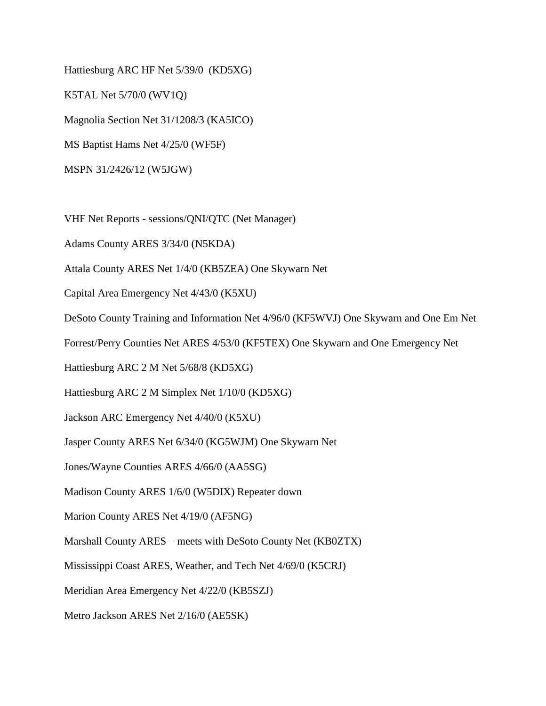Hattiesburg ARC HF Net 5/39/0 (KD5XG) K5TAL Net 5/70/0 (WV1Q) Magnolia Section Net 31/1208/3 (KA5ICO) MS Baptist Hams Net 4/25/0 (WF5F) MSPN 31/2426/12 (W5JGW)

VHF Net Reports - sessions/QNI/QTC (Net Manager)

Adams County ARES 3/34/0 (N5KDA)

Attala County ARES Net 1/4/0 (KB5ZEA) One Skywarn Net

Capital Area Emergency Net 4/43/0 (K5XU)

DeSoto County Training and Information Net 4/96/0 (KF5WVJ) One Skywarn and One Em Net

Forrest/Perry Counties Net ARES 4/53/0 (KF5TEX) One Skywarn and One Emergency Net

Hattiesburg ARC 2 M Net 5/68/8 (KD5XG)

Hattiesburg ARC 2 M Simplex Net 1/10/0 (KD5XG)

Jackson ARC Emergency Net 4/40/0 (K5XU)

Jasper County ARES Net 6/34/0 (KG5WJM) One Skywarn Net

Jones/Wayne Counties ARES 4/66/0 (AA5SG)

Madison County ARES 1/6/0 (W5DIX) Repeater down

Marion County ARES Net 4/19/0 (AF5NG)

Marshall County ARES – meets with DeSoto County Net (KB0ZTX)

Mississippi Coast ARES, Weather, and Tech Net 4/69/0 (K5CRJ)

Meridian Area Emergency Net 4/22/0 (KB5SZJ)

Metro Jackson ARES Net 2/16/0 (AE5SK)